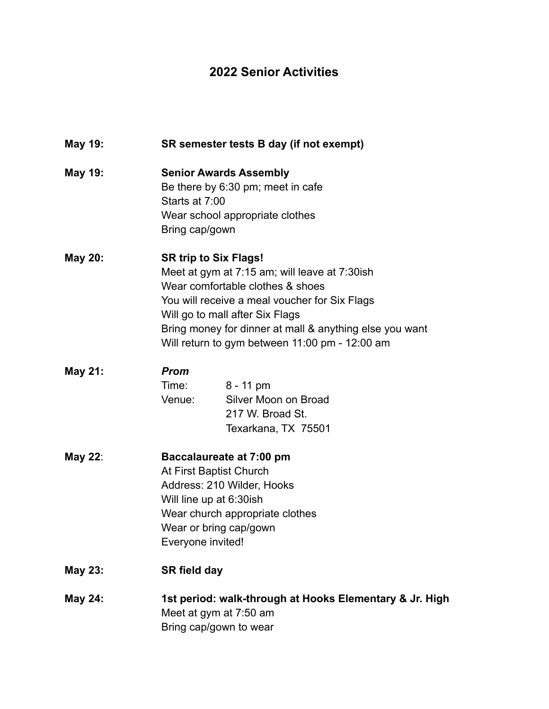## **2022 Senior Activities**

| May 19:        | SR semester tests B day (if not exempt)                                                                                                                                                                                                                                                                            |
|----------------|--------------------------------------------------------------------------------------------------------------------------------------------------------------------------------------------------------------------------------------------------------------------------------------------------------------------|
| <b>May 19:</b> | <b>Senior Awards Assembly</b><br>Be there by 6:30 pm; meet in cafe<br>Starts at 7:00<br>Wear school appropriate clothes<br>Bring cap/gown                                                                                                                                                                          |
| <b>May 20:</b> | <b>SR trip to Six Flags!</b><br>Meet at gym at 7:15 am; will leave at 7:30ish<br>Wear comfortable clothes & shoes<br>You will receive a meal voucher for Six Flags<br>Will go to mall after Six Flags<br>Bring money for dinner at mall & anything else you want<br>Will return to gym between 11:00 pm - 12:00 am |
| <b>May 21:</b> | <b>Prom</b><br>Time:<br>$8 - 11$ pm<br>Silver Moon on Broad<br>Venue:<br>217 W. Broad St.<br>Texarkana, TX 75501                                                                                                                                                                                                   |
| <b>May 22:</b> | Baccalaureate at 7:00 pm<br>At First Baptist Church<br>Address: 210 Wilder, Hooks<br>Will line up at 6:30ish<br>Wear church appropriate clothes<br>Wear or bring cap/gown<br>Everyone invited!                                                                                                                     |
| <b>May 23:</b> | <b>SR field day</b>                                                                                                                                                                                                                                                                                                |
| <b>May 24:</b> | 1st period: walk-through at Hooks Elementary & Jr. High<br>Meet at gym at 7:50 am<br>Bring cap/gown to wear                                                                                                                                                                                                        |